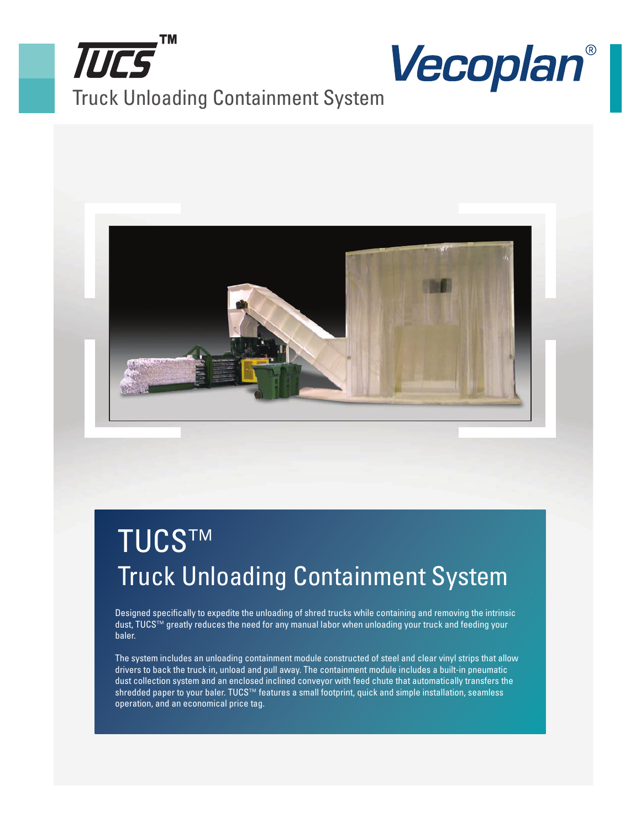





## TUCS™ Truck Unloading Containment System

Designed specifically to expedite the unloading of shred trucks while containing and removing the intrinsic dust, TUCS™ greatly reduces the need for any manual labor when unloading your truck and feeding your baler.

The system includes an unloading containment module constructed of steel and clear vinyl strips that allow drivers to back the truck in, unload and pull away. The containment module includes a built-in pneumatic dust collection system and an enclosed inclined conveyor with feed chute that automatically transfers the shredded paper to your baler. TUCS™ features a small footprint, quick and simple installation, seamless operation, and an economical price tag.